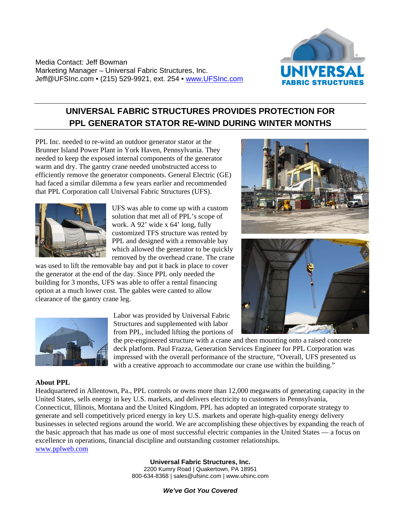Media Contact: Jeff Bowman Marketing Manager – Universal Fabric Structures, Inc. Jeff@UFSInc.com • (215) 529-9921, ext. 254 • [www.UFSInc.com](http://www.ufsinc.com/)



## **UNIVERSAL FABRIC STRUCTURES PROVIDES PROTECTION FOR PPL GENERATOR STATOR RE-WIND DURING WINTER MONTHS**

PPL Inc. needed to re-wind an outdoor generator stator at the Brunner Island Power Plant in York Haven, Pennsylvania. They needed to keep the exposed internal components of the generator warm and dry. The gantry crane needed unobstructed access to efficiently remove the generator components. General Electric (GE) had faced a similar dilemma a few years earlier and recommended that PPL Corporation call Universal Fabric Structures (UFS).



UFS was able to come up with a custom solution that met all of PPL's scope of work. A 92' wide x 64' long, fully customized TFS structure was rented by PPL and designed with a removable bay which allowed the generator to be quickly removed by the overhead crane. The crane

was used to lift the removable bay and put it back in place to cover the generator at the end of the day. Since PPL only needed the building for 3 months, UFS was able to offer a rental financing option at a much lower cost. The gables were canted to allow clearance of the gantry crane leg.







Labor was provided by Universal Fabric Structures and supplemented with labor from PPL, included lifting the portions of

the pre-engineered structure with a crane and then mounting onto a raised concrete deck platform. Paul Frazza, Generation Services Engineer for PPL Corporation was impressed with the overall performance of the structure, "Overall, UFS presented us with a creative approach to accommodate our crane use within the building."

## **About PPL**

Headquartered in Allentown, Pa., PPL controls or owns more than 12,000 megawatts of generating capacity in the United States, sells energy in key U.S. markets, and delivers electricity to customers in Pennsylvania, Connecticut, Illinois, Montana and the United Kingdom. PPL has adopted an integrated corporate strategy to generate and sell competitively priced energy in key U.S. markets and operate high-quality energy delivery businesses in selected regions around the world. We are accomplishing these objectives by expanding the reach of the basic approach that has made us one of most successful electric companies in the United States — a focus on excellence in operations, financial discipline and outstanding customer relationships. [www.pplweb.com](http://www.pplweb.com/)

> **Universal Fabric Structures, Inc.**  2200 Kumry Road | Quakertown, PA 18951 800-634-8368 | sales@ufsinc.com | www.ufsinc.com